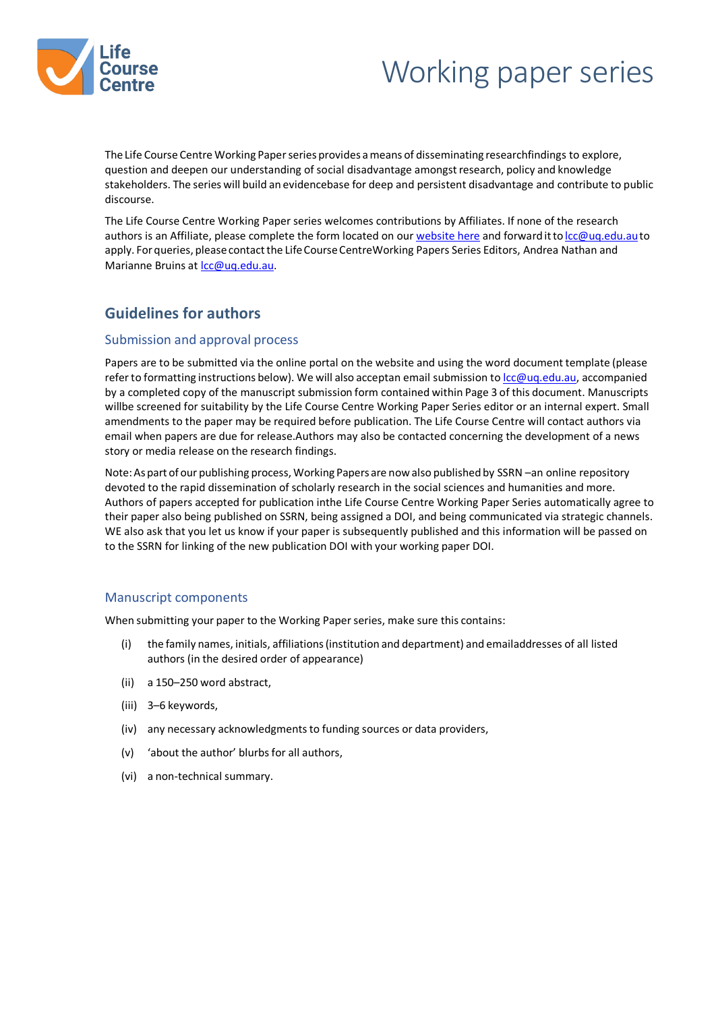

# Working paper series

The Life Course Centre Working Paper series provides a means of disseminating researchfindings to explore, question and deepen our understanding of social disadvantage amongstresearch, policy and knowledge stakeholders. The series will build an evidencebase for deep and persistent disadvantage and contribute to public discourse.

The Life Course Centre Working Paper series welcomes contributions by Affiliates. If none of the research authors is an Affiliate, please complete the form located on our [website here](https://lifecoursecentre.org.au/get-involved/submit-a-working-paper/) and forward it to lcc@uq.edu.au to apply. For queries, please contact the Life Course CentreWorking Papers Series Editors, Andrea Nathan and Marianne Bruins at Icc@uq.edu.au.

# **Guidelines for authors**

### Submission and approval process

Papers are to be submitted via the online portal on the website and using the word document template (please refer to formatting instructions below). We will also acceptan email submission to  $cc@ua.edu.au$ , accompanied by a completed copy of the manuscript submission form contained within Page 3 of this document. Manuscripts willbe screened for suitability by the Life Course Centre Working Paper Series editor or an internal expert. Small amendments to the paper may be required before publication. The Life Course Centre will contact authors via email when papers are due for release.Authors may also be contacted concerning the development of a news story or media release on the research findings.

Note:Aspart of our publishing process, Working Papers are now also published by [SSRN](https://papers.ssrn.com/sol3/JELJOUR_Results.cfm?form_name=journalbrowse&journal_id=3513109) – an online repository devoted to the rapid dissemination of scholarly research in the social sciences and humanities and more. Authors of papers accepted for publication inthe Life Course Centre Working Paper Series automatically agree to their paper also being published on SSRN, being assigned a DOI, and being communicated via strategic channels. WE also ask that you let us know if your paper is subsequently published and this information will be passed on to the SSRN for linking of the new publication DOI with your working paper DOI.

### Manuscript components

When submitting your paper to the Working Paper series, make sure this contains:

- (i) the family names, initials, affiliations(institution and department) and emailaddresses of all listed authors (in the desired order of appearance)
- (ii) a 150–250 word abstract,
- (iii) 3–6 keywords,
- (iv) any necessary acknowledgments to funding sources or data providers,
- (v) 'about the author' blurbsfor all authors,
- (vi) a non-technical summary.